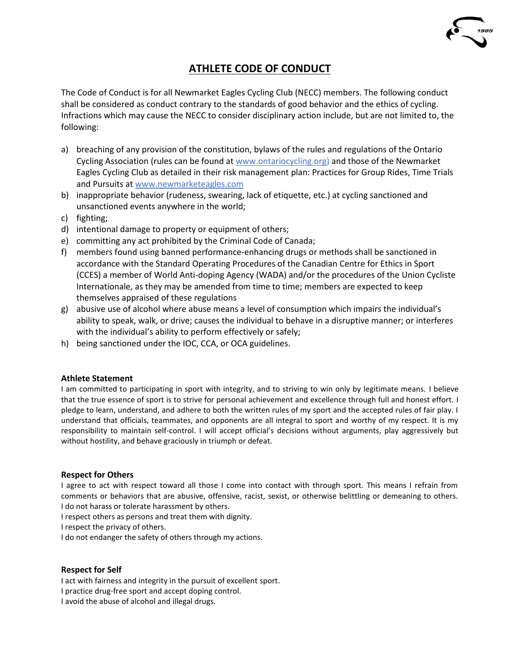# **ATHLETE CODE OF CONDUCT**

The Code of Conduct is for all Newmarket Eagles Cycling Club (NECC) members. The following conduct shall be considered as conduct contrary to the standards of good behavior and the ethics of cycling. Infractions which may cause the NECC to consider disciplinary action include, but are not limited to, the following:

- a) breaching of any provision of the constitution, bylaws of the rules and regulations of the Ontario Cycling Association (rules can be found a[t www.ontariocycling.org\)](http://www.ontariocycling.org/) and those of the Newmarket Eagles Cycling Club as detailed in their risk management plan: Practices for Group Rides, Time Trials and Pursuits at [www.newmarketeagles.com](http://www.newmarketeagles.com/)
- b) inappropriate behavior (rudeness, swearing, lack of etiquette, etc.) at cycling sanctioned and unsanctioned events anywhere in the world;
- c) fighting;
- d) intentional damage to property or equipment of others;
- e) committing any act prohibited by the Criminal Code of Canada;
- f) members found using banned performance-enhancing drugs or methods shall be sanctioned in accordance with the Standard Operating Procedures of the Canadian Centre for Ethics in Sport (CCES) a member of World Anti-doping Agency (WADA) and/or the procedures of the Union Cycliste Internationale, as they may be amended from time to time; members are expected to keep themselves appraised of these regulations
- g) abusive use of alcohol where abuse means a level of consumption which impairs the individual's ability to speak, walk, or drive; causes the individual to behave in a disruptive manner; or interferes with the individual's ability to perform effectively or safely;
- h) being sanctioned under the IOC, CCA, or OCA guidelines.

### **Athlete Statement**

I am committed to participating in sport with integrity, and to striving to win only by legitimate means. I believe that the true essence of sport is to strive for personal achievement and excellence through full and honest effort. I pledge to learn, understand, and adhere to both the written rules of my sport and the accepted rules of fair play. I understand that officials, teammates, and opponents are all integral to sport and worthy of my respect. It is my responsibility to maintain self-control. I will accept official's decisions without arguments, play aggressively but without hostility, and behave graciously in triumph or defeat.

### **Respect for Others**

I agree to act with respect toward all those I come into contact with through sport. This means I refrain from comments or behaviors that are abusive, offensive, racist, sexist, or otherwise belittling or demeaning to others. I do not harass or tolerate harassment by others.

I respect others as persons and treat them with dignity.

I respect the privacy of others.

I do not endanger the safety of others through my actions.

### **Respect for Self**

I act with fairness and integrity in the pursuit of excellent sport.

I practice drug-free sport and accept doping control.

I avoid the abuse of alcohol and illegal drugs.